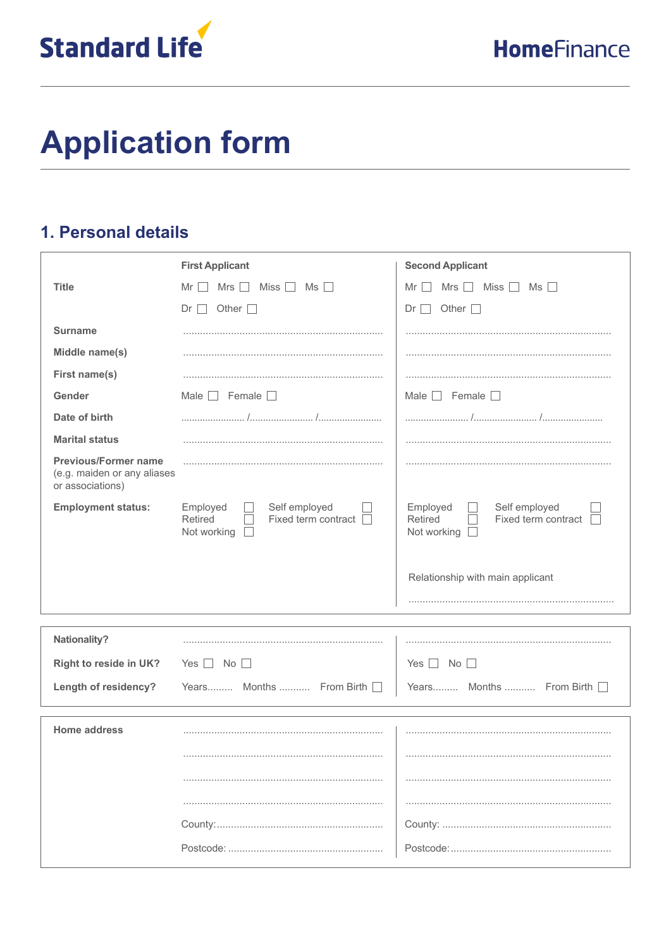

# **Application form**

### 1. Personal details

|                                                                                | <b>First Applicant</b>                                                       | <b>Second Applicant</b>                                                    |
|--------------------------------------------------------------------------------|------------------------------------------------------------------------------|----------------------------------------------------------------------------|
| <b>Title</b>                                                                   | Miss $\Box$<br>Mrs<br>$Ms$ $\Box$<br>Mr                                      | Miss $\Box$<br>Mrs  <br>Ms<br>Mr I<br>$\mathbf{I}$                         |
|                                                                                | Other $\square$<br>Dr                                                        | Other $\square$<br>Dr <sub>1</sub><br>$\blacksquare$                       |
| <b>Surname</b>                                                                 |                                                                              |                                                                            |
| Middle name(s)                                                                 |                                                                              |                                                                            |
| First name(s)                                                                  |                                                                              |                                                                            |
| Gender                                                                         | Male $\Box$ Female $\Box$                                                    | Male $\Box$ Female $\Box$                                                  |
| Date of birth                                                                  | $\frac{1}{2}$                                                                |                                                                            |
| <b>Marital status</b>                                                          |                                                                              |                                                                            |
| <b>Previous/Former name</b><br>(e.g. maiden or any aliases<br>or associations) |                                                                              |                                                                            |
| <b>Employment status:</b>                                                      | Self employed<br>Employed<br>Fixed term contract  <br>Retired<br>Not working | Self employed<br>Employed<br>Fixed term contract<br>Retired<br>Not working |
|                                                                                |                                                                              | Relationship with main applicant                                           |
|                                                                                |                                                                              |                                                                            |
| Nationality?                                                                   |                                                                              |                                                                            |
| Right to reside in UK?                                                         | $Yes \mid \mid No \mid \mid$                                                 | $No$ $\Box$<br>Yes $  \;  $                                                |
| Length of residency?                                                           | Years Months  From Birth                                                     | Years Months  From Birth                                                   |
|                                                                                |                                                                              |                                                                            |
| <b>Home address</b>                                                            |                                                                              |                                                                            |
|                                                                                |                                                                              |                                                                            |
|                                                                                |                                                                              |                                                                            |
|                                                                                |                                                                              |                                                                            |
|                                                                                |                                                                              |                                                                            |
|                                                                                |                                                                              |                                                                            |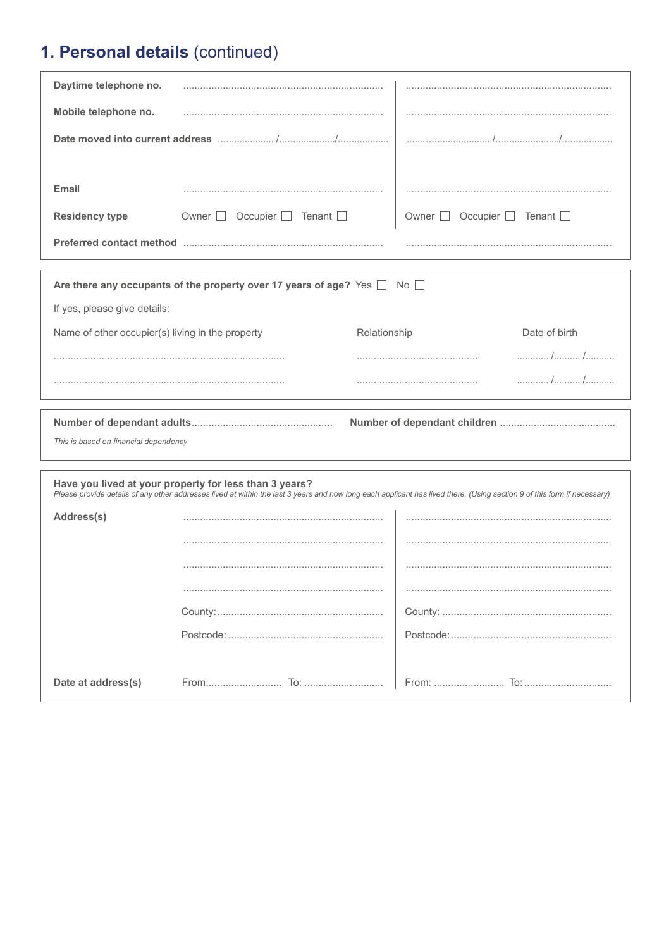# 1. Personal details (continued)

| Daytime telephone no.                            |                                                                                    |                                                                                                                                                                         |
|--------------------------------------------------|------------------------------------------------------------------------------------|-------------------------------------------------------------------------------------------------------------------------------------------------------------------------|
| Mobile telephone no.                             |                                                                                    |                                                                                                                                                                         |
|                                                  |                                                                                    |                                                                                                                                                                         |
|                                                  |                                                                                    |                                                                                                                                                                         |
| Email                                            |                                                                                    |                                                                                                                                                                         |
| <b>Residency type</b>                            | Owner □ Occupier □ Tenant □                                                        | Owner □ Occupier □ Tenant □                                                                                                                                             |
|                                                  |                                                                                    |                                                                                                                                                                         |
|                                                  |                                                                                    |                                                                                                                                                                         |
|                                                  | Are there any occupants of the property over 17 years of age? Yes $\Box$ No $\Box$ |                                                                                                                                                                         |
| If yes, please give details:                     |                                                                                    |                                                                                                                                                                         |
| Name of other occupier(s) living in the property |                                                                                    | Date of birth<br>Relationship                                                                                                                                           |
|                                                  |                                                                                    |                                                                                                                                                                         |
|                                                  |                                                                                    |                                                                                                                                                                         |
|                                                  |                                                                                    |                                                                                                                                                                         |
|                                                  |                                                                                    |                                                                                                                                                                         |
|                                                  |                                                                                    |                                                                                                                                                                         |
| This is based on financial dependency            |                                                                                    |                                                                                                                                                                         |
|                                                  |                                                                                    |                                                                                                                                                                         |
|                                                  | Have you lived at your property for less than 3 years?                             | Please provide details of any other addresses lived at within the last 3 years and how long each applicant has lived there. (Using section 9 of this form if necessary) |
| Address(s)                                       |                                                                                    |                                                                                                                                                                         |
|                                                  |                                                                                    |                                                                                                                                                                         |
|                                                  |                                                                                    |                                                                                                                                                                         |
|                                                  |                                                                                    |                                                                                                                                                                         |
|                                                  |                                                                                    |                                                                                                                                                                         |
|                                                  |                                                                                    |                                                                                                                                                                         |
|                                                  |                                                                                    |                                                                                                                                                                         |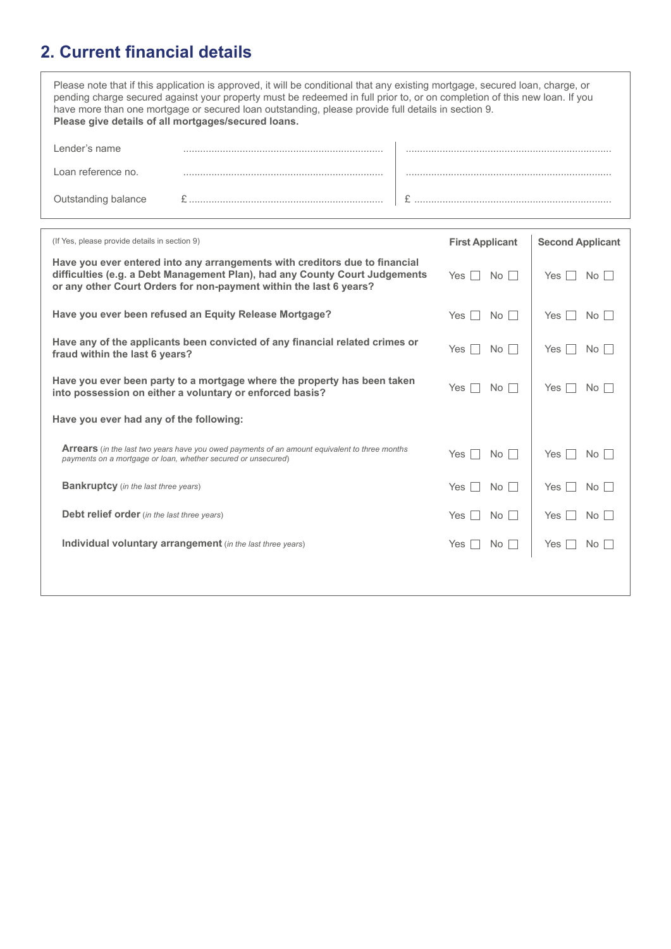# **2. Current financial details**

|                     | Please note that if this application is approved, it will be conditional that any existing mortgage, secured loan, charge, or<br>pending charge secured against your property must be redeemed in full prior to, or on completion of this new loan. If you<br>have more than one mortgage or secured loan outstanding, please provide full details in section 9.<br>Please give details of all mortgages/secured loans. |  |
|---------------------|-------------------------------------------------------------------------------------------------------------------------------------------------------------------------------------------------------------------------------------------------------------------------------------------------------------------------------------------------------------------------------------------------------------------------|--|
| Lender's name       |                                                                                                                                                                                                                                                                                                                                                                                                                         |  |
| Loan reference no.  |                                                                                                                                                                                                                                                                                                                                                                                                                         |  |
| Outstanding balance |                                                                                                                                                                                                                                                                                                                                                                                                                         |  |
|                     |                                                                                                                                                                                                                                                                                                                                                                                                                         |  |

| (If Yes, please provide details in section 9)                                                                                                                                                                                    | <b>First Applicant</b>    | <b>Second Applicant</b> |
|----------------------------------------------------------------------------------------------------------------------------------------------------------------------------------------------------------------------------------|---------------------------|-------------------------|
| Have you ever entered into any arrangements with creditors due to financial<br>difficulties (e.g. a Debt Management Plan), had any County Court Judgements<br>or any other Court Orders for non-payment within the last 6 years? | No <sub>1</sub><br>Yes    | No<br>Yes               |
| Have you ever been refused an Equity Release Mortgage?                                                                                                                                                                           | No<br>Yes                 | Yes<br>No.              |
| Have any of the applicants been convicted of any financial related crimes or<br>fraud within the last 6 years?                                                                                                                   | No <sub>1</sub><br>Yes    | Yes<br>No I             |
| Have you ever been party to a mortgage where the property has been taken<br>into possession on either a voluntary or enforced basis?                                                                                             | Yes<br>No<br>$\mathbf{I}$ | Yes<br>No l             |
| Have you ever had any of the following:                                                                                                                                                                                          |                           |                         |
| <b>Arrears</b> (in the last two years have you owed payments of an amount equivalent to three months<br>payments on a mortgage or loan, whether secured or unsecured)                                                            | Yes<br>No                 | Yes<br>No I             |
| <b>Bankruptcy</b> (in the last three years)                                                                                                                                                                                      | <b>Yes</b><br>No          | Yes<br>No               |
| <b>Debt relief order</b> (in the last three years)                                                                                                                                                                               | No<br><b>Yes</b>          | Yes<br>No I             |
| Individual voluntary arrangement (in the last three years)                                                                                                                                                                       | <b>Yes</b><br>No.         | Yes<br>No I             |
|                                                                                                                                                                                                                                  |                           |                         |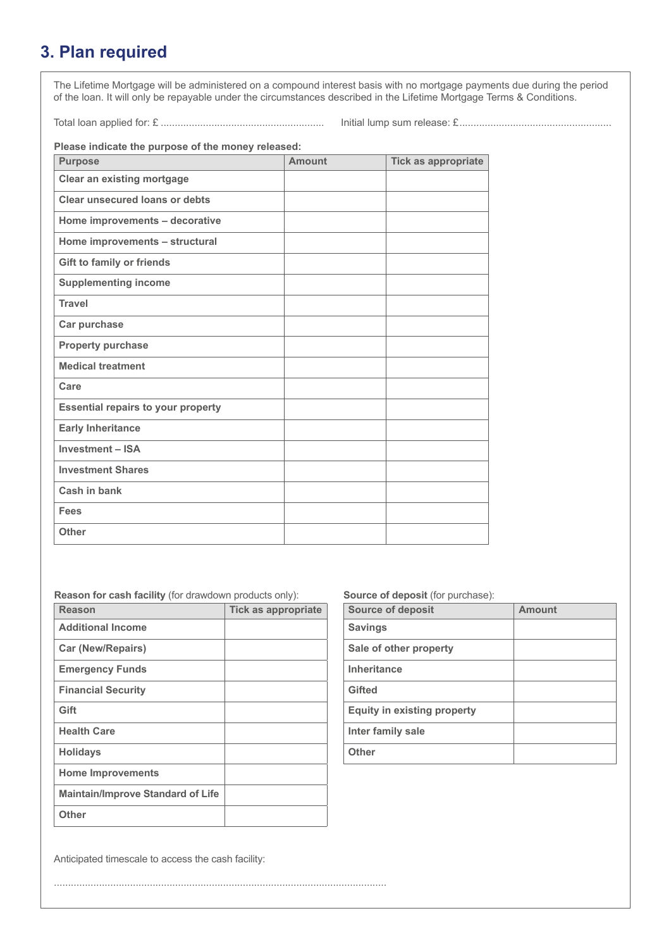## **3. Plan required**

The Lifetime Mortgage will be administered on a compound interest basis with no mortgage payments due during the period of the loan. It will only be repayable under the circumstances described in the Lifetime Mortgage Terms & Conditions.

Total loan applied for: £ .......................................................... Initial lump sum release: £......................................................

**Please indicate the purpose of the money released:**

| <b>Purpose</b>                            | <b>Amount</b> | <b>Tick as appropriate</b> |
|-------------------------------------------|---------------|----------------------------|
| <b>Clear an existing mortgage</b>         |               |                            |
| <b>Clear unsecured loans or debts</b>     |               |                            |
| Home improvements - decorative            |               |                            |
| Home improvements - structural            |               |                            |
| <b>Gift to family or friends</b>          |               |                            |
| <b>Supplementing income</b>               |               |                            |
| <b>Travel</b>                             |               |                            |
| Car purchase                              |               |                            |
| <b>Property purchase</b>                  |               |                            |
| <b>Medical treatment</b>                  |               |                            |
| Care                                      |               |                            |
| <b>Essential repairs to your property</b> |               |                            |
| <b>Early Inheritance</b>                  |               |                            |
| <b>Investment - ISA</b>                   |               |                            |
| <b>Investment Shares</b>                  |               |                            |
| Cash in bank                              |               |                            |
| <b>Fees</b>                               |               |                            |
| <b>Other</b>                              |               |                            |

......................................................................................................................

**Reason for cash facility** (for drawdown products only):

| <b>Reason</b>                            | <b>Tick as appropriate</b> |
|------------------------------------------|----------------------------|
| <b>Additional Income</b>                 |                            |
| <b>Car (New/Repairs)</b>                 |                            |
| <b>Emergency Funds</b>                   |                            |
| <b>Financial Security</b>                |                            |
| Gift                                     |                            |
| <b>Health Care</b>                       |                            |
| <b>Holidays</b>                          |                            |
| <b>Home Improvements</b>                 |                            |
| <b>Maintain/Improve Standard of Life</b> |                            |
| <b>Other</b>                             |                            |

**Source of deposit** (for purchase):

| <b>Source of deposit</b>           | <b>Amount</b> |
|------------------------------------|---------------|
| <b>Savings</b>                     |               |
| Sale of other property             |               |
| <b>Inheritance</b>                 |               |
| Gifted                             |               |
| <b>Equity in existing property</b> |               |
| Inter family sale                  |               |
| <b>Other</b>                       |               |

Anticipated timescale to access the cash facility: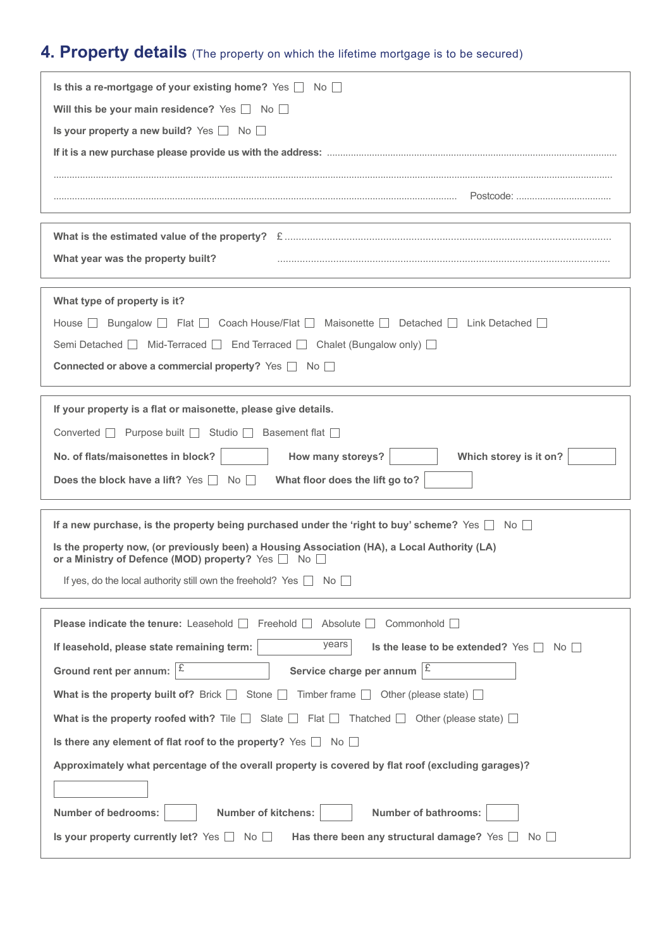# **4. Property details** (The property on which the lifetime mortgage is to be secured)

| Is this a re-mortgage of your existing home? Yes $\Box$ No $\Box$                                                                                   |
|-----------------------------------------------------------------------------------------------------------------------------------------------------|
| Will this be your main residence? Yes $\Box$ No $\Box$                                                                                              |
| Is your property a new build? Yes $\Box$ No $\Box$                                                                                                  |
|                                                                                                                                                     |
|                                                                                                                                                     |
|                                                                                                                                                     |
|                                                                                                                                                     |
| What year was the property built?                                                                                                                   |
|                                                                                                                                                     |
| What type of property is it?                                                                                                                        |
| House $\Box$ Bungalow $\Box$ Flat $\Box$ Coach House/Flat $\Box$ Maisonette $\Box$ Detached $\Box$ Link Detached $\Box$                             |
| Semi Detached   Mid-Terraced   End Terraced   Chalet (Bungalow only)                                                                                |
| Connected or above a commercial property? Yes □ No □                                                                                                |
|                                                                                                                                                     |
| If your property is a flat or maisonette, please give details.                                                                                      |
| Converted □ Purpose built □ Studio □ Basement flat □                                                                                                |
| No. of flats/maisonettes in block?<br>How many storeys?<br>Which storey is it on?                                                                   |
| What floor does the lift go to?<br>Does the block have a lift? Yes $\Box$ No $\Box$                                                                 |
| If a new purchase, is the property being purchased under the 'right to buy' scheme? Yes $\Box$ No $\Box$                                            |
| Is the property now, (or previously been) a Housing Association (HA), a Local Authority (LA)<br>or a Ministry of Defence (MOD) property? Yes □ No □ |
| If yes, do the local authority still own the freehold? Yes $\Box$ No $\Box$                                                                         |
|                                                                                                                                                     |
| <b>Please indicate the tenure:</b> Leasehold $\Box$<br>Freehold $\Box$<br>Absolute $\Box$<br>Commonhold <b>D</b>                                    |
| years<br>Is the lease to be extended? Yes $\Box$<br>If leasehold, please state remaining term:<br>No II                                             |
| £<br>Ι£<br>Ground rent per annum:<br>Service charge per annum                                                                                       |
| Stone $\Box$ Timber frame $\Box$ Other (please state) $\Box$<br>What is the property built of? Brick $\Box$                                         |
| What is the property roofed with? Tile $\Box$ Slate $\Box$ Flat $\Box$ Thatched $\Box$ Other (please state) $\Box$                                  |
| Is there any element of flat roof to the property? Yes $\Box$ No $\Box$                                                                             |
| Approximately what percentage of the overall property is covered by flat roof (excluding garages)?                                                  |
|                                                                                                                                                     |
| <b>Number of bedrooms:</b><br><b>Number of kitchens:</b><br><b>Number of bathrooms:</b>                                                             |
| Is your property currently let? $Yes \Box No \Box$<br>Has there been any structural damage? Yes $\Box$<br>$No$ $\Box$                               |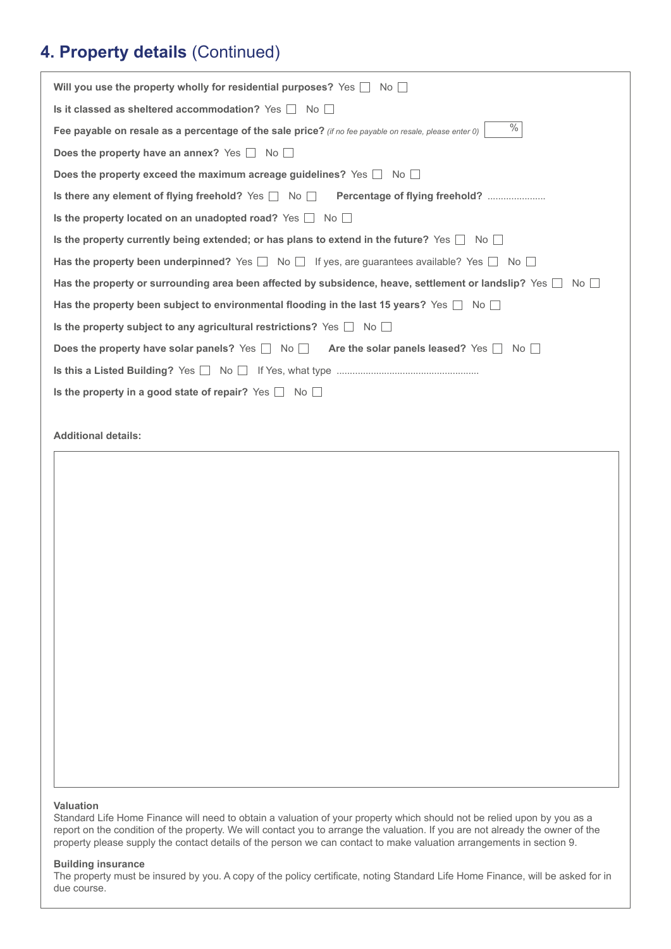#### **4. Property details** (Continued)

| Will you use the property wholly for residential purposes? Yes $\Box$ No $\Box$                                      |
|----------------------------------------------------------------------------------------------------------------------|
| Is it classed as sheltered accommodation? Yes $\Box$ No $\Box$                                                       |
| $\%$<br>Fee payable on resale as a percentage of the sale price? (if no fee payable on resale, please enter 0)       |
| Does the property have an annex? Yes $\Box$ No $\Box$                                                                |
| Does the property exceed the maximum acreage guidelines? Yes $\Box$ No $\Box$                                        |
| Is there any element of flying freehold? Yes No Rercentage of flying freehold?                                       |
| Is the property located on an unadopted road? Yes $\Box$ No $\Box$                                                   |
| Is the property currently being extended; or has plans to extend in the future? Yes $\Box$ No $\Box$                 |
| Has the property been underpinned? Yes $\Box$ No $\Box$ If yes, are guarantees available? Yes $\Box$ No $\Box$       |
| Has the property or surrounding area been affected by subsidence, heave, settlement or landslip? Yes $\Box$<br>No II |
| Has the property been subject to environmental flooding in the last 15 years? Yes $\Box$ No $\Box$                   |
| Is the property subject to any agricultural restrictions? Yes $\Box$ No $\Box$                                       |
| Does the property have solar panels? Yes $\Box$ No $\Box$ Are the solar panels leased? Yes $\Box$ No $\Box$          |
|                                                                                                                      |
| Is the property in a good state of repair? Yes $\Box$ No $\Box$                                                      |
|                                                                                                                      |
|                                                                                                                      |

**Additional details:**

#### **Valuation**

Standard Life Home Finance will need to obtain a valuation of your property which should not be relied upon by you as a report on the condition of the property. We will contact you to arrange the valuation. If you are not already the owner of the property please supply the contact details of the person we can contact to make valuation arrangements in section 9.

#### **Building insurance**

The property must be insured by you. A copy of the policy certificate, noting Standard Life Home Finance, will be asked for in due course.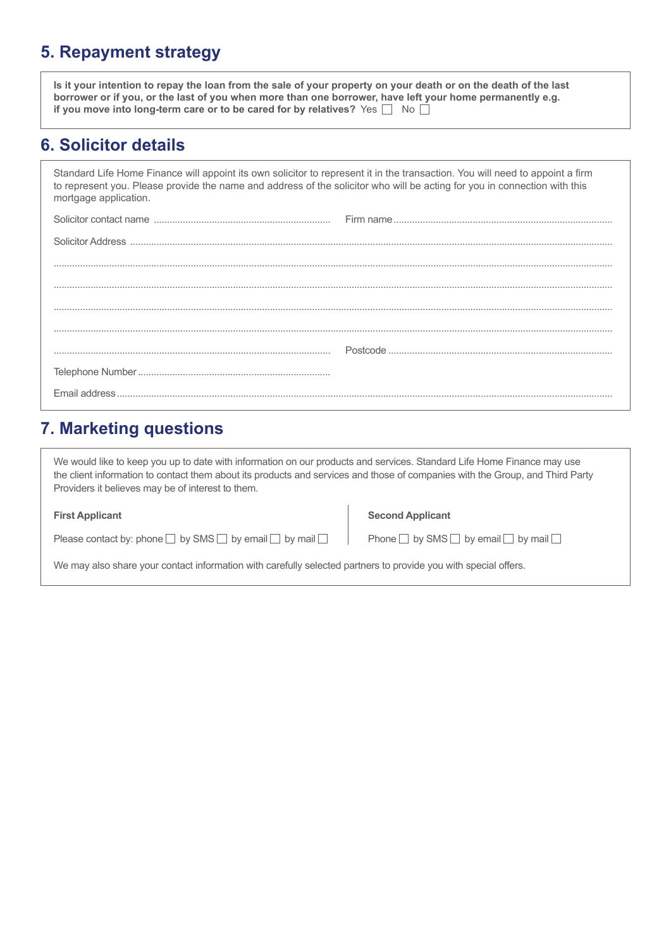#### **5. Repayment strategy**

**Is it your intention to repay the loan from the sale of your property on your death or on the death of the last borrower or if you, or the last of you when more than one borrower, have left your home permanently e.g. if you move into long-term care or to be cared for by relatives?** Yes  $\Box$  No  $\Box$ 

#### **6. Solicitor details**

Standard Life Home Finance will appoint its own solicitor to represent it in the transaction. You will need to appoint a firm to represent you. Please provide the name and address of the solicitor who will be acting for you in connection with this mortgage application.

| Fmail address. |  |
|----------------|--|

#### **7. Marketing questions**

We would like to keep you up to date with information on our products and services. Standard Life Home Finance may use the client information to contact them about its products and services and those of companies with the Group, and Third Party Providers it believes may be of interest to them.

Please contact by: phone  $\Box$  by SMS  $\Box$  by email  $\Box$  by mail  $\Box$  Phone  $\Box$  by SMS  $\Box$  by email  $\Box$  by mail  $\Box$ 

#### **First Applicant Second Applicant Second Applicant**

We may also share your contact information with carefully selected partners to provide you with special offers.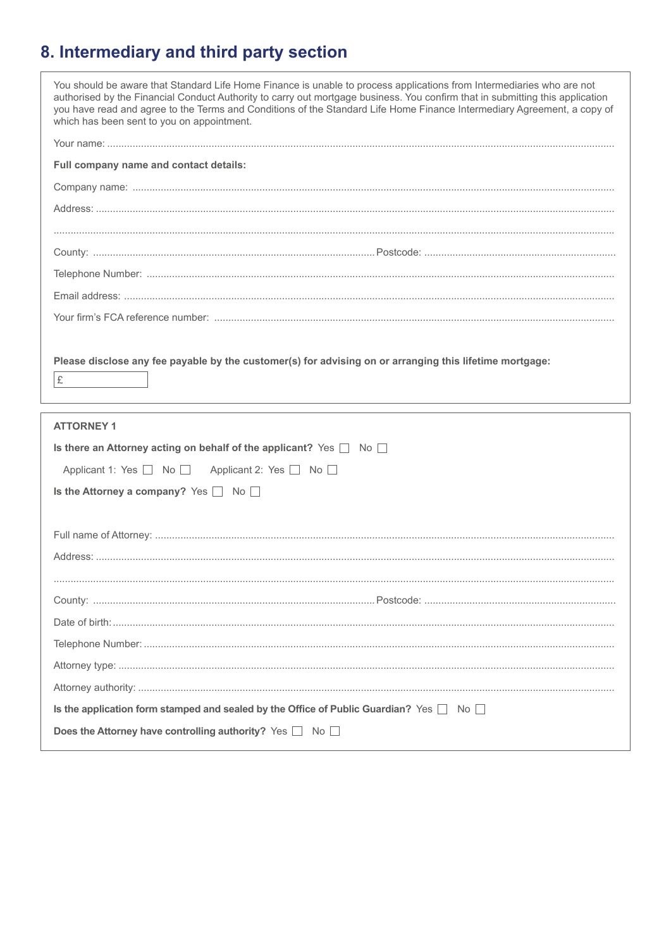# 8. Intermediary and third party section

| You should be aware that Standard Life Home Finance is unable to process applications from Intermediaries who are not<br>authorised by the Financial Conduct Authority to carry out mortgage business. You confirm that in submitting this application<br>you have read and agree to the Terms and Conditions of the Standard Life Home Finance Intermediary Agreement, a copy of<br>which has been sent to you on appointment. |  |
|---------------------------------------------------------------------------------------------------------------------------------------------------------------------------------------------------------------------------------------------------------------------------------------------------------------------------------------------------------------------------------------------------------------------------------|--|
|                                                                                                                                                                                                                                                                                                                                                                                                                                 |  |
| Full company name and contact details:                                                                                                                                                                                                                                                                                                                                                                                          |  |
|                                                                                                                                                                                                                                                                                                                                                                                                                                 |  |
|                                                                                                                                                                                                                                                                                                                                                                                                                                 |  |
|                                                                                                                                                                                                                                                                                                                                                                                                                                 |  |
|                                                                                                                                                                                                                                                                                                                                                                                                                                 |  |
|                                                                                                                                                                                                                                                                                                                                                                                                                                 |  |
|                                                                                                                                                                                                                                                                                                                                                                                                                                 |  |
|                                                                                                                                                                                                                                                                                                                                                                                                                                 |  |
|                                                                                                                                                                                                                                                                                                                                                                                                                                 |  |
| Please disclose any fee payable by the customer(s) for advising on or arranging this lifetime mortgage:<br>£                                                                                                                                                                                                                                                                                                                    |  |
|                                                                                                                                                                                                                                                                                                                                                                                                                                 |  |
| <b>ATTORNEY 1</b>                                                                                                                                                                                                                                                                                                                                                                                                               |  |
| Is there an Attorney acting on behalf of the applicant? Yes $\Box$ No $\Box$                                                                                                                                                                                                                                                                                                                                                    |  |
| Applicant 1: Yes   No   Applicant 2: Yes   No                                                                                                                                                                                                                                                                                                                                                                                   |  |
| Is the Attorney a company? Yes □ No                                                                                                                                                                                                                                                                                                                                                                                             |  |
|                                                                                                                                                                                                                                                                                                                                                                                                                                 |  |
|                                                                                                                                                                                                                                                                                                                                                                                                                                 |  |
|                                                                                                                                                                                                                                                                                                                                                                                                                                 |  |
|                                                                                                                                                                                                                                                                                                                                                                                                                                 |  |
|                                                                                                                                                                                                                                                                                                                                                                                                                                 |  |
|                                                                                                                                                                                                                                                                                                                                                                                                                                 |  |
|                                                                                                                                                                                                                                                                                                                                                                                                                                 |  |
|                                                                                                                                                                                                                                                                                                                                                                                                                                 |  |
|                                                                                                                                                                                                                                                                                                                                                                                                                                 |  |
| Is the application form stamped and sealed by the Office of Public Guardian? Yes $\Box$ No $\Box$                                                                                                                                                                                                                                                                                                                               |  |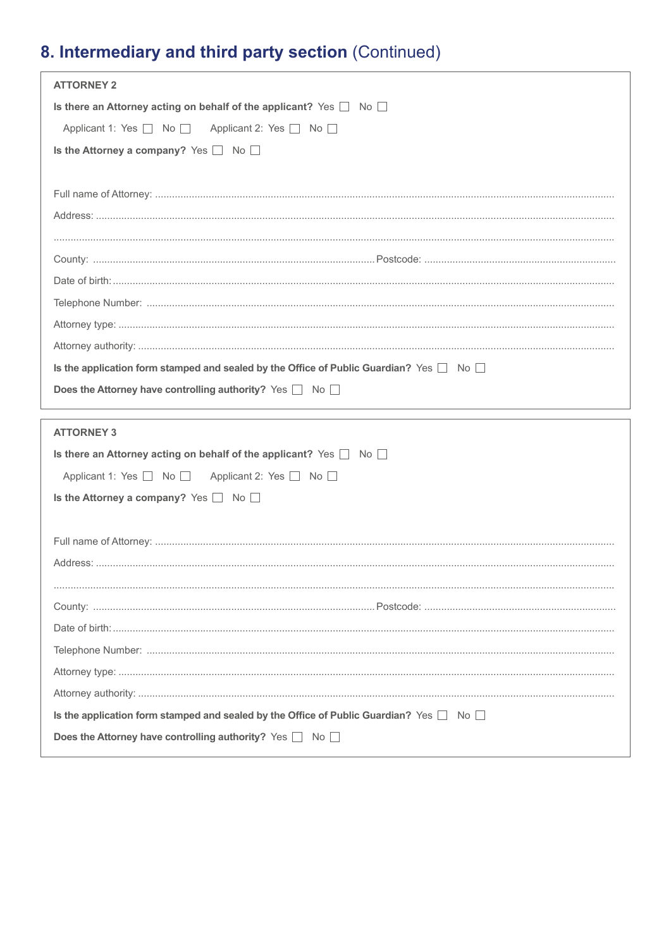# 8. Intermediary and third party section (Continued)

| <b>ATTORNEY 2</b>                                                                                                                                           |
|-------------------------------------------------------------------------------------------------------------------------------------------------------------|
| Is there an Attorney acting on behalf of the applicant? Yes $\Box$ No $\Box$                                                                                |
| Applicant 1: Yes   No   Applicant 2: Yes   No                                                                                                               |
| Is the Attorney a company? Yes $\Box$ No $\Box$                                                                                                             |
|                                                                                                                                                             |
|                                                                                                                                                             |
|                                                                                                                                                             |
|                                                                                                                                                             |
|                                                                                                                                                             |
|                                                                                                                                                             |
|                                                                                                                                                             |
|                                                                                                                                                             |
|                                                                                                                                                             |
| Is the application form stamped and sealed by the Office of Public Guardian? Yes $\Box$ No $\Box$                                                           |
| Does the Attorney have controlling authority? Yes No                                                                                                        |
|                                                                                                                                                             |
|                                                                                                                                                             |
| <b>ATTORNEY 3</b>                                                                                                                                           |
| Is there an Attorney acting on behalf of the applicant? Yes $\Box$ No $\Box$                                                                                |
| Applicant 1: Yes   No   Applicant 2: Yes   No                                                                                                               |
| Is the Attorney a company? Yes $\Box$ No $\Box$                                                                                                             |
|                                                                                                                                                             |
|                                                                                                                                                             |
|                                                                                                                                                             |
|                                                                                                                                                             |
|                                                                                                                                                             |
|                                                                                                                                                             |
|                                                                                                                                                             |
|                                                                                                                                                             |
|                                                                                                                                                             |
| Is the application form stamped and sealed by the Office of Public Guardian? Yes $\Box$ No $\Box$<br>Does the Attorney have controlling authority? Yes a No |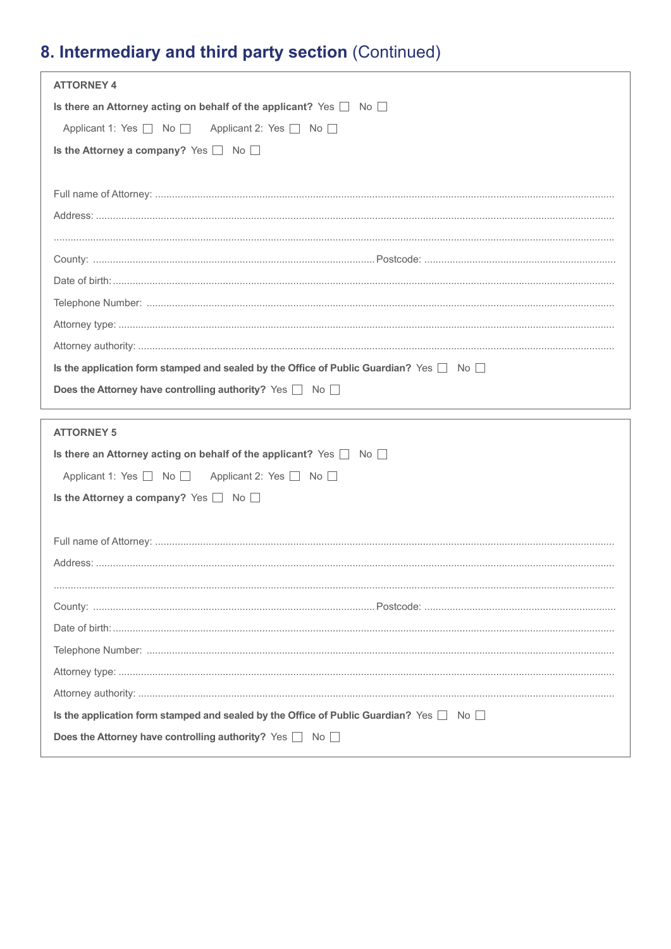# 8. Intermediary and third party section (Continued)

| <b>ATTORNEY 4</b>                                                                                 |
|---------------------------------------------------------------------------------------------------|
| Is there an Attorney acting on behalf of the applicant? Yes $\Box$ No $\Box$                      |
| Applicant 1: Yes   No   Applicant 2: Yes   No                                                     |
| Is the Attorney a company? Yes $\Box$ No $\Box$                                                   |
|                                                                                                   |
|                                                                                                   |
|                                                                                                   |
|                                                                                                   |
|                                                                                                   |
|                                                                                                   |
|                                                                                                   |
|                                                                                                   |
|                                                                                                   |
| Is the application form stamped and sealed by the Office of Public Guardian? Yes $\Box$ No $\Box$ |
| Does the Attorney have controlling authority? Yes No                                              |
|                                                                                                   |
| <b>ATTORNEY 5</b>                                                                                 |
| Is there an Attorney acting on behalf of the applicant? Yes $\Box$ No $\Box$                      |
| Applicant 1: Yes   No   Applicant 2: Yes   No                                                     |
| Is the Attorney a company? Yes $\Box$ No $\Box$                                                   |
|                                                                                                   |
|                                                                                                   |
|                                                                                                   |
|                                                                                                   |
|                                                                                                   |
|                                                                                                   |
|                                                                                                   |
|                                                                                                   |
|                                                                                                   |
| Is the application form stamped and sealed by the Office of Public Guardian? Yes $\Box$ No $\Box$ |
| Does the Attorney have controlling authority? Yes a No                                            |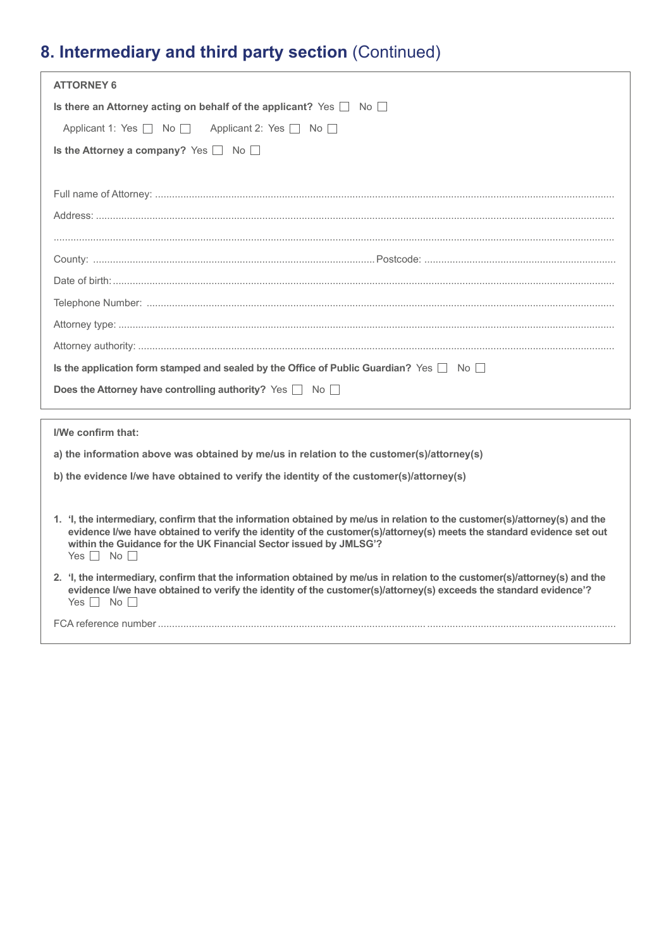# **8. Intermediary and third party section** (Continued)

| <b>ATTORNEY 6</b>                                                                                                                                                                                                                                                                                                                                |
|--------------------------------------------------------------------------------------------------------------------------------------------------------------------------------------------------------------------------------------------------------------------------------------------------------------------------------------------------|
| Is there an Attorney acting on behalf of the applicant? Yes $\Box$ No $\Box$                                                                                                                                                                                                                                                                     |
| Applicant 1: Yes No<br>Applicant 2: Yes No                                                                                                                                                                                                                                                                                                       |
| Is the Attorney a company? Yes $\Box$ No $\Box$                                                                                                                                                                                                                                                                                                  |
|                                                                                                                                                                                                                                                                                                                                                  |
|                                                                                                                                                                                                                                                                                                                                                  |
|                                                                                                                                                                                                                                                                                                                                                  |
|                                                                                                                                                                                                                                                                                                                                                  |
|                                                                                                                                                                                                                                                                                                                                                  |
|                                                                                                                                                                                                                                                                                                                                                  |
|                                                                                                                                                                                                                                                                                                                                                  |
|                                                                                                                                                                                                                                                                                                                                                  |
|                                                                                                                                                                                                                                                                                                                                                  |
| Is the application form stamped and sealed by the Office of Public Guardian? Yes $\Box$ No $\Box$                                                                                                                                                                                                                                                |
| Does the Attorney have controlling authority? Yes $\Box$ No $\Box$                                                                                                                                                                                                                                                                               |
| I/We confirm that:                                                                                                                                                                                                                                                                                                                               |
|                                                                                                                                                                                                                                                                                                                                                  |
| a) the information above was obtained by me/us in relation to the customer(s)/attorney(s)                                                                                                                                                                                                                                                        |
| b) the evidence I/we have obtained to verify the identity of the customer(s)/attorney(s)                                                                                                                                                                                                                                                         |
| 1. 'I, the intermediary, confirm that the information obtained by me/us in relation to the customer(s)/attorney(s) and the<br>evidence I/we have obtained to verify the identity of the customer(s)/attorney(s) meets the standard evidence set out<br>within the Guidance for the UK Financial Sector issued by JMLSG'?<br>Yes $\Box$ No $\Box$ |
| 2. 'I, the intermediary, confirm that the information obtained by me/us in relation to the customer(s)/attorney(s) and the<br>evidence I/we have obtained to verify the identity of the customer(s)/attorney(s) exceeds the standard evidence'?<br>Yes $\Box$ No $\Box$                                                                          |
|                                                                                                                                                                                                                                                                                                                                                  |